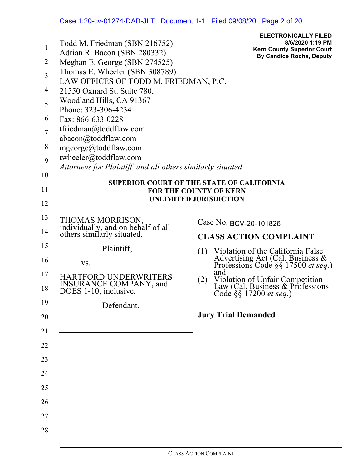|                                                                        | Case 1:20-cv-01274-DAD-JLT Document 1-1 Filed 09/08/20 Page 2 of 20                                                                                                                                                                                                                                                                                                                                                                              |                                                                                                                         |  |  |  |  |
|------------------------------------------------------------------------|--------------------------------------------------------------------------------------------------------------------------------------------------------------------------------------------------------------------------------------------------------------------------------------------------------------------------------------------------------------------------------------------------------------------------------------------------|-------------------------------------------------------------------------------------------------------------------------|--|--|--|--|
| $\mathbf{1}$<br>$\overline{2}$<br>3<br>4<br>5<br>6<br>$\tau$<br>8<br>9 | Todd M. Friedman (SBN 216752)<br>Adrian R. Bacon (SBN 280332)<br>Meghan E. George (SBN 274525)<br>Thomas E. Wheeler (SBN 308789)<br>LAW OFFICES OF TODD M. FRIEDMAN, P.C.<br>21550 Oxnard St. Suite 780,<br>Woodland Hills, CA 91367<br>Phone: 323-306-4234<br>Fax: 866-633-0228<br>tfriedman@toddflaw.com<br>abacon@toddflaw.com<br>mgeorge@toddflaw.com<br>twheeler@toddflaw.com<br>Attorneys for Plaintiff, and all others similarly situated | <b>ELECTRONICALLY FILED</b><br>8/6/2020 1:19 PM<br><b>Kern County Superior Court</b><br><b>By Candice Rocha, Deputy</b> |  |  |  |  |
| 10                                                                     |                                                                                                                                                                                                                                                                                                                                                                                                                                                  | <b>SUPERIOR COURT OF THE STATE OF CALIFORNIA</b>                                                                        |  |  |  |  |
| 11                                                                     |                                                                                                                                                                                                                                                                                                                                                                                                                                                  | <b>FOR THE COUNTY OF KERN</b><br><b>UNLIMITED JURISDICTION</b>                                                          |  |  |  |  |
| 12                                                                     |                                                                                                                                                                                                                                                                                                                                                                                                                                                  |                                                                                                                         |  |  |  |  |
| 13                                                                     | THOMAS MORRISON,<br>individually, and on behalf of all<br>others similarly situated,                                                                                                                                                                                                                                                                                                                                                             | Case No. BCV-20-101826                                                                                                  |  |  |  |  |
| 14                                                                     |                                                                                                                                                                                                                                                                                                                                                                                                                                                  | <b>CLASS ACTION COMPLAINT</b>                                                                                           |  |  |  |  |
| 15                                                                     | Plaintiff,                                                                                                                                                                                                                                                                                                                                                                                                                                       | Violation of the California False<br>(1)                                                                                |  |  |  |  |
| 16                                                                     | VS.                                                                                                                                                                                                                                                                                                                                                                                                                                              | Advertising Act (Cal. Business & Professions Code §§ 17500 et seq.)<br>and                                              |  |  |  |  |
| 17<br>18                                                               | <b>HARTFORD UNDERWRITERS</b><br>INSURANCE COMPANY, and<br>DOES 1-10, inclusive,                                                                                                                                                                                                                                                                                                                                                                  | (2)<br>Violation of Unfair Competition<br>Law (Cal. Business & Professions<br>Code §§ 17200 <i>et seq</i> .)            |  |  |  |  |
| 19                                                                     | Defendant.                                                                                                                                                                                                                                                                                                                                                                                                                                       |                                                                                                                         |  |  |  |  |
| 20                                                                     |                                                                                                                                                                                                                                                                                                                                                                                                                                                  | <b>Jury Trial Demanded</b>                                                                                              |  |  |  |  |
| 21                                                                     |                                                                                                                                                                                                                                                                                                                                                                                                                                                  |                                                                                                                         |  |  |  |  |
| 22                                                                     |                                                                                                                                                                                                                                                                                                                                                                                                                                                  |                                                                                                                         |  |  |  |  |
| 23                                                                     |                                                                                                                                                                                                                                                                                                                                                                                                                                                  |                                                                                                                         |  |  |  |  |
| 24                                                                     |                                                                                                                                                                                                                                                                                                                                                                                                                                                  |                                                                                                                         |  |  |  |  |
| 25                                                                     |                                                                                                                                                                                                                                                                                                                                                                                                                                                  |                                                                                                                         |  |  |  |  |
| 26                                                                     |                                                                                                                                                                                                                                                                                                                                                                                                                                                  |                                                                                                                         |  |  |  |  |
| 27                                                                     |                                                                                                                                                                                                                                                                                                                                                                                                                                                  |                                                                                                                         |  |  |  |  |
| 28                                                                     |                                                                                                                                                                                                                                                                                                                                                                                                                                                  |                                                                                                                         |  |  |  |  |
|                                                                        |                                                                                                                                                                                                                                                                                                                                                                                                                                                  | <b>CLASS ACTION COMPLAINT</b>                                                                                           |  |  |  |  |
|                                                                        |                                                                                                                                                                                                                                                                                                                                                                                                                                                  |                                                                                                                         |  |  |  |  |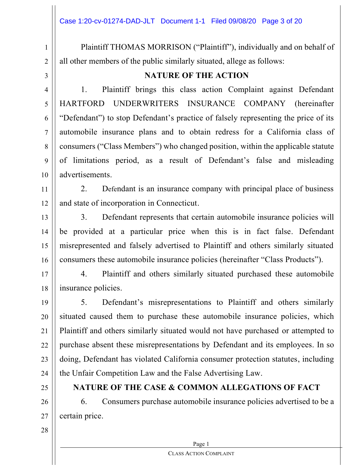2

1

Plaintiff THOMAS MORRISON ("Plaintiff"), individually and on behalf of all other members of the public similarly situated, allege as follows:

3

4

5

6

7

8

9

10

## **NATURE OF THE ACTION**

1. Plaintiff brings this class action Complaint against Defendant HARTFORD UNDERWRITERS INSURANCE COMPANY (hereinafter "Defendant" to stop Defendant's practice of falsely representing the price of its automobile insurance plans and to obtain redress for a California class of consumers ("Class Members") who changed position, within the applicable statute of limitations period, as a result of Defendant's false and misleading advertisements.

11 12 2. Defendant is an insurance company with principal place of business and state of incorporation in Connecticut.

13 14 15 16 3. Defendant represents that certain automobile insurance policies will be provided at a particular price when this is in fact false. Defendant misrepresented and falsely advertised to Plaintiff and others similarly situated consumers these automobile insurance policies (hereinafter "Class Products").

17 18 4. Plaintiff and others similarly situated purchased these automobile insurance policies.

19 20 21 22 23 24 5. Defendant's misrepresentations to Plaintiff and others similarly situated caused them to purchase these automobile insurance policies, which Plaintiff and others similarly situated would not have purchased or attempted to purchase absent these misrepresentations by Defendant and its employees. In so doing, Defendant has violated California consumer protection statutes, including the Unfair Competition Law and the False Advertising Law.

25

## **NATURE OF THE CASE & COMMON ALLEGATIONS OF FACT**

26 27 6. Consumers purchase automobile insurance policies advertised to be a certain price.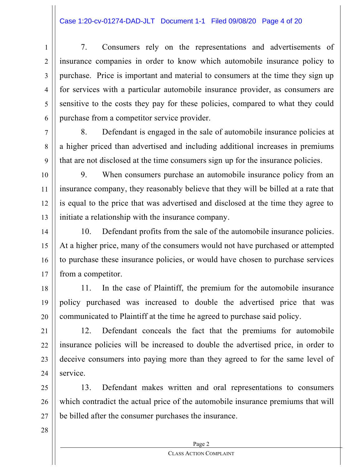## Case 1:20-cv-01274-DAD-JLT Document 1-1 Filed 09/08/20 Page 4 of 20

7. Consumers rely on the representations and advertisements of insurance companies in order to know which automobile insurance policy to purchase. Price is important and material to consumers at the time they sign up for services with a particular automobile insurance provider, as consumers are sensitive to the costs they pay for these policies, compared to what they could purchase from a competitor service provider.

8. Defendant is engaged in the sale of automobile insurance policies at a higher priced than advertised and including additional increases in premiums that are not disclosed at the time consumers sign up for the insurance policies.

10 11 12 13 9. When consumers purchase an automobile insurance policy from an insurance company, they reasonably believe that they will be billed at a rate that is equal to the price that was advertised and disclosed at the time they agree to initiate a relationship with the insurance company.

14 15 16 17 10. Defendant profits from the sale of the automobile insurance policies. At a higher price, many of the consumers would not have purchased or attempted to purchase these insurance policies, or would have chosen to purchase services from a competitor.

18 19 20 11. In the case of Plaintiff, the premium for the automobile insurance policy purchased was increased to double the advertised price that was communicated to Plaintiff at the time he agreed to purchase said policy.

21 22 23 24 12. Defendant conceals the fact that the premiums for automobile insurance policies will be increased to double the advertised price, in order to deceive consumers into paying more than they agreed to for the same level of service.

25 26 27 13. Defendant makes written and oral representations to consumers which contradict the actual price of the automobile insurance premiums that will be billed after the consumer purchases the insurance.

28

1

2

3

4

5

6

7

8

9

Page 2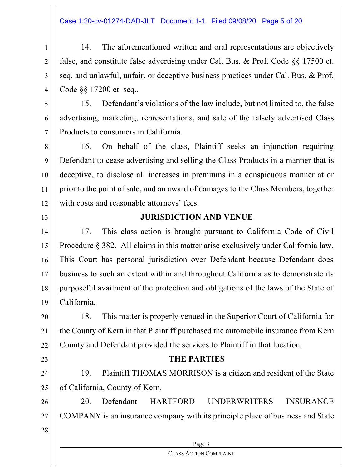## Case 1:20-cv-01274-DAD-JLT Document 1-1 Filed 09/08/20 Page 5 of 20

1 2 3 4 14. The aforementioned written and oral representations are objectively false, and constitute false advertising under Cal. Bus. & Prof. Code §§ 17500 et. seq. and unlawful, unfair, or deceptive business practices under Cal. Bus. & Prof. Code §§ 17200 et. seq..

15. Defendant's violations of the law include, but not limited to, the false advertising, marketing, representations, and sale of the falsely advertised Class Products to consumers in California.

8 9 10 11 12 16. On behalf of the class, Plaintiff seeks an injunction requiring Defendant to cease advertising and selling the Class Products in a manner that is deceptive, to disclose all increases in premiums in a conspicuous manner at or prior to the point of sale, and an award of damages to the Class Members, together with costs and reasonable attorneys' fees.

13

20

21

22

23

24

25

5

6

7

## **JURISDICTION AND VENUE**

14 15 16 17 18 19 17. This class action is brought pursuant to California Code of Civil Procedure § 382. All claims in this matter arise exclusively under California law. This Court has personal jurisdiction over Defendant because Defendant does business to such an extent within and throughout California as to demonstrate its purposeful availment of the protection and obligations of the laws of the State of California.

18. This matter is properly venued in the Superior Court of California for the County of Kern in that Plaintiff purchased the automobile insurance from Kern County and Defendant provided the services to Plaintiff in that location.

## **THE PARTIES**

19. Plaintiff THOMAS MORRISON is a citizen and resident of the State of California, County of Kern.

26 27 20. Defendant HARTFORD UNDERWRITERS INSURANCE COMPANY is an insurance company with its principle place of business and State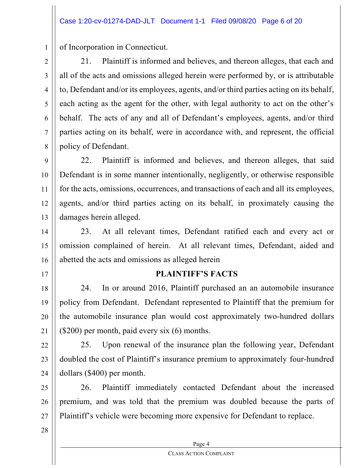of Incorporation in Connecticut.

21. Plaintiff is informed and believes, and thereon alleges, that each and all of the acts and omissions alleged herein were performed by, or is attributable to, Defendant and/or its employees, agents, and/or third parties acting on its behalf, each acting as the agent for the other, with legal authority to act on the other's behalf. The acts of any and all of Defendant's employees, agents, and/or third parties acting on its behalf, were in accordance with, and represent, the official policy of Defendant.

9 10 11 12 13 22. Plaintiff is informed and believes, and thereon alleges, that said Defendant is in some manner intentionally, negligently, or otherwise responsible for the acts, omissions, occurrences, and transactions of each and all its employees, agents, and/or third parties acting on its behalf, in proximately causing the damages herein alleged.

14 15 16 23. At all relevant times, Defendant ratified each and every act or omission complained of herein. At all relevant times, Defendant, aided and abetted the acts and omissions as alleged herein

17

1

2

3

4

5

6

7

8

## **PLAINTIFF'S FACTS**

18 19 20 21 24. In or around 2016, Plaintiff purchased an an automobile insurance policy from Defendant. Defendant represented to Plaintiff that the premium for the automobile insurance plan would cost approximately two-hundred dollars (\$200) per month, paid every six (6) months.

22 23 24 25. Upon renewal of the insurance plan the following year, Defendant doubled the cost of Plaintiff's insurance premium to approximately four-hundred dollars (\$400) per month.

25 26 27 26. Plaintiff immediately contacted Defendant about the increased premium, and was told that the premium was doubled because the parts of Plaintiff's vehicle were becoming more expensive for Defendant to replace.

28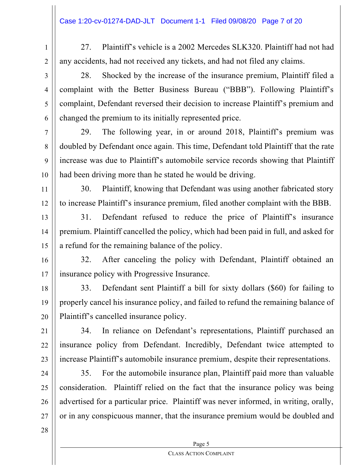- 1 2 27. Plaintiff's vehicle is a 2002 Mercedes SLK320. Plaintiff had not had any accidents, had not received any tickets, and had not filed any claims.
- 3

4

5

6

7

8

9

10

11

12

28. Shocked by the increase of the insurance premium, Plaintiff filed a complaint with the Better Business Bureau ("BBB"). Following Plaintiff's complaint, Defendant reversed their decision to increase Plaintiff's premium and changed the premium to its initially represented price.

29. The following year, in or around 2018, Plaintiff's premium was doubled by Defendant once again. This time, Defendant told Plaintiff that the rate increase was due to Plaintiff's automobile service records showing that Plaintiff had been driving more than he stated he would be driving.

30. Plaintiff, knowing that Defendant was using another fabricated story to increase Plaintiff's insurance premium, filed another complaint with the BBB.

13 14 15 31. Defendant refused to reduce the price of Plaintiff's insurance premium. Plaintiff cancelled the policy, which had been paid in full, and asked for a refund for the remaining balance of the policy.

16 17 32. After canceling the policy with Defendant, Plaintiff obtained an insurance policy with Progressive Insurance.

18 19 20 33. Defendant sent Plaintiff a bill for sixty dollars (\$60) for failing to properly cancel his insurance policy, and failed to refund the remaining balance of Plaintiff's cancelled insurance policy.

21 22 23 34. In reliance on Defendant's representations, Plaintiff purchased an insurance policy from Defendant. Incredibly, Defendant twice attempted to increase Plaintiff's automobile insurance premium, despite their representations.

24 25 26 27 35. For the automobile insurance plan, Plaintiff paid more than valuable consideration. Plaintiff relied on the fact that the insurance policy was being advertised for a particular price. Plaintiff was never informed, in writing, orally, or in any conspicuous manner, that the insurance premium would be doubled and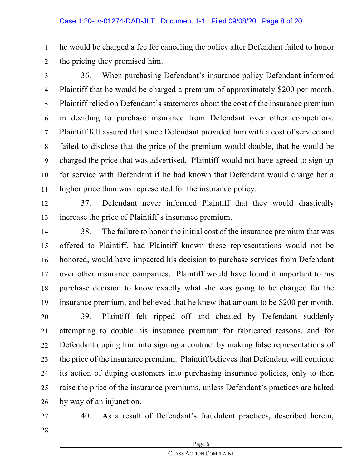he would be charged a fee for canceling the policy after Defendant failed to honor the pricing they promised him.

2 3

4

5

6

7

8

9

10

11

1

36. When purchasing Defendant's insurance policy Defendant informed Plaintiff that he would be charged a premium of approximately \$200 per month. Plaintiff relied on Defendant's statements about the cost of the insurance premium in deciding to purchase insurance from Defendant over other competitors. Plaintiff felt assured that since Defendant provided him with a cost of service and failed to disclose that the price of the premium would double, that he would be charged the price that was advertised. Plaintiff would not have agreed to sign up for service with Defendant if he had known that Defendant would charge her a higher price than was represented for the insurance policy.

12

13

37. Defendant never informed Plaintiff that they would drastically increase the price of Plaintiff's insurance premium.

14 15 16 17 18 19 38. The failure to honor the initial cost of the insurance premium that was offered to Plaintiff, had Plaintiff known these representations would not be honored, would have impacted his decision to purchase services from Defendant over other insurance companies. Plaintiff would have found it important to his purchase decision to know exactly what she was going to be charged for the insurance premium, and believed that he knew that amount to be \$200 per month.

20 21 22 23 24 25 26 39. Plaintiff felt ripped off and cheated by Defendant suddenly attempting to double his insurance premium for fabricated reasons, and for Defendant duping him into signing a contract by making false representations of the price of the insurance premium. Plaintiff believes that Defendant will continue its action of duping customers into purchasing insurance policies, only to then raise the price of the insurance premiums, unless Defendant's practices are halted by way of an injunction.

27

40. As a result of Defendant's fraudulent practices, described herein,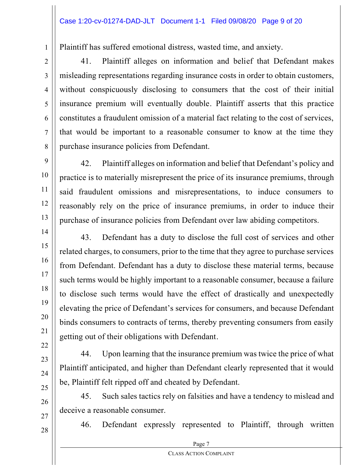Plaintiff has suffered emotional distress, wasted time, and anxiety.

41. Plaintiff alleges on information and belief that Defendant makes misleading representations regarding insurance costs in order to obtain customers, without conspicuously disclosing to consumers that the cost of their initial insurance premium will eventually double. Plaintiff asserts that this practice constitutes a fraudulent omission of a material fact relating to the cost of services, that would be important to a reasonable consumer to know at the time they purchase insurance policies from Defendant.

42. Plaintiff alleges on information and belief that Defendant's policy and practice is to materially misrepresent the price of its insurance premiums, through said fraudulent omissions and misrepresentations, to induce consumers to reasonably rely on the price of insurance premiums, in order to induce their purchase of insurance policies from Defendant over law abiding competitors.

43. Defendant has a duty to disclose the full cost of services and other related charges, to consumers, prior to the time that they agree to purchase services from Defendant. Defendant has a duty to disclose these material terms, because such terms would be highly important to a reasonable consumer, because a failure to disclose such terms would have the effect of drastically and unexpectedly elevating the price of Defendant's services for consumers, and because Defendant binds consumers to contracts of terms, thereby preventing consumers from easily getting out of their obligations with Defendant.

44. Upon learning that the insurance premium was twice the price of what Plaintiff anticipated, and higher than Defendant clearly represented that it would be, Plaintiff felt ripped off and cheated by Defendant.

45. Such sales tactics rely on falsities and have a tendency to mislead and deceive a reasonable consumer.

46. Defendant expressly represented to Plaintiff, through written

1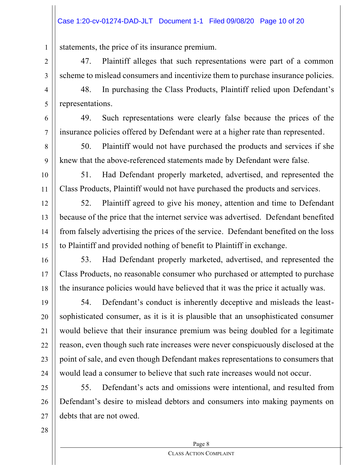## Case 1:20-cv-01274-DAD-JLT Document 1-1 Filed 09/08/20 Page 10 of 20

statements, the price of its insurance premium.

47. Plaintiff alleges that such representations were part of a common scheme to mislead consumers and incentivize them to purchase insurance policies.

48. In purchasing the Class Products, Plaintiff relied upon Defendant's representations.

49. Such representations were clearly false because the prices of the insurance policies offered by Defendant were at a higher rate than represented.

50. Plaintiff would not have purchased the products and services if she knew that the above-referenced statements made by Defendant were false.

51. Had Defendant properly marketed, advertised, and represented the Class Products, Plaintiff would not have purchased the products and services.

12 13 14 15 52. Plaintiff agreed to give his money, attention and time to Defendant because of the price that the internet service was advertised. Defendant benefited from falsely advertising the prices of the service. Defendant benefited on the loss to Plaintiff and provided nothing of benefit to Plaintiff in exchange.

16 17 18 53. Had Defendant properly marketed, advertised, and represented the Class Products, no reasonable consumer who purchased or attempted to purchase the insurance policies would have believed that it was the price it actually was.

19 20 21 22 23 24 54. Defendant's conduct is inherently deceptive and misleads the leastsophisticated consumer, as it is it is plausible that an unsophisticated consumer would believe that their insurance premium was being doubled for a legitimate reason, even though such rate increases were never conspicuously disclosed at the point of sale, and even though Defendant makes representations to consumers that would lead a consumer to believe that such rate increases would not occur.

25 26 27 55. Defendant's acts and omissions were intentional, and resulted from Defendant's desire to mislead debtors and consumers into making payments on debts that are not owed.

28

1

2

3

4

5

6

7

8

9

10

11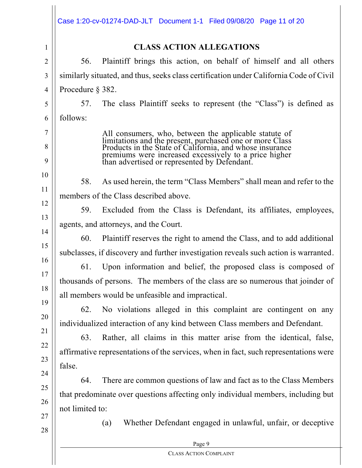|                | Case 1:20-cv-01274-DAD-JLT Document 1-1 Filed 09/08/20 Page 11 of 20                                                                                                    |  |  |  |  |
|----------------|-------------------------------------------------------------------------------------------------------------------------------------------------------------------------|--|--|--|--|
| $\mathbf{1}$   | <b>CLASS ACTION ALLEGATIONS</b>                                                                                                                                         |  |  |  |  |
| $\overline{2}$ | Plaintiff brings this action, on behalf of himself and all others<br>56.                                                                                                |  |  |  |  |
| 3              | similarly situated, and thus, seeks class certification under California Code of Civil                                                                                  |  |  |  |  |
| 4              | Procedure $\S$ 382.                                                                                                                                                     |  |  |  |  |
| 5              | The class Plaintiff seeks to represent (the "Class") is defined as<br>57.                                                                                               |  |  |  |  |
| 6              | follows:                                                                                                                                                                |  |  |  |  |
| 7              |                                                                                                                                                                         |  |  |  |  |
| 8              | All consumers, who, between the applicable statute of limitations and the present, purchased one or more Class Products in the State of California, and whose insurance |  |  |  |  |
| 9              | premiums were increased excessively to a price higher<br>than advertised or represented by Defendant.                                                                   |  |  |  |  |
| 10             | As used herein, the term "Class Members" shall mean and refer to the<br>58.                                                                                             |  |  |  |  |
| 11             | members of the Class described above.                                                                                                                                   |  |  |  |  |
| 12             | Excluded from the Class is Defendant, its affiliates, employees,<br>59.                                                                                                 |  |  |  |  |
| 13             | agents, and attorneys, and the Court.                                                                                                                                   |  |  |  |  |
| 14             | Plaintiff reserves the right to amend the Class, and to add additional<br>60.                                                                                           |  |  |  |  |
| 15             | subclasses, if discovery and further investigation reveals such action is warranted.                                                                                    |  |  |  |  |
| 16<br>17       | Upon information and belief, the proposed class is composed of<br>61.                                                                                                   |  |  |  |  |
| 18             | thousands of persons. The members of the class are so numerous that joinder of                                                                                          |  |  |  |  |
| 19             | all members would be unfeasible and impractical.                                                                                                                        |  |  |  |  |
|                | No violations alleged in this complaint are contingent on any<br>62.                                                                                                    |  |  |  |  |
| 20             | individualized interaction of any kind between Class members and Defendant.                                                                                             |  |  |  |  |
| 21             | Rather, all claims in this matter arise from the identical, false,<br>63.                                                                                               |  |  |  |  |
| 22             | affirmative representations of the services, when in fact, such representations were                                                                                    |  |  |  |  |
| 23             | false.                                                                                                                                                                  |  |  |  |  |
| 24             | There are common questions of law and fact as to the Class Members<br>64.                                                                                               |  |  |  |  |
| 25             | that predominate over questions affecting only individual members, including but                                                                                        |  |  |  |  |
| 26             | not limited to:                                                                                                                                                         |  |  |  |  |
| 27<br>28       | Whether Defendant engaged in unlawful, unfair, or deceptive<br>(a)                                                                                                      |  |  |  |  |
|                | Page 9                                                                                                                                                                  |  |  |  |  |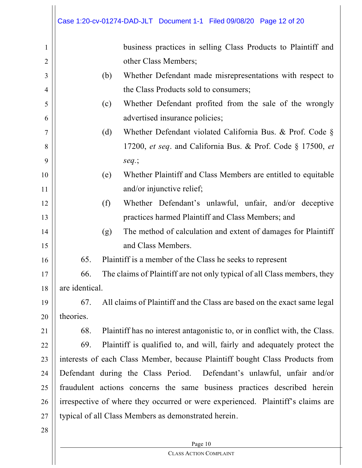|                | Case 1:20-cv-01274-DAD-JLT Document 1-1 Filed 09/08/20 Page 12 of 20              |  |  |
|----------------|-----------------------------------------------------------------------------------|--|--|
| $\mathbf{1}$   | business practices in selling Class Products to Plaintiff and                     |  |  |
| $\overline{2}$ | other Class Members;                                                              |  |  |
| 3              | Whether Defendant made misrepresentations with respect to<br>(b)                  |  |  |
| $\overline{4}$ | the Class Products sold to consumers;                                             |  |  |
| 5              | Whether Defendant profited from the sale of the wrongly<br>(c)                    |  |  |
| 6              | advertised insurance policies;                                                    |  |  |
| $\overline{7}$ | Whether Defendant violated California Bus. & Prof. Code §<br>(d)                  |  |  |
| 8              | 17200, et seq. and California Bus. & Prof. Code § 17500, et                       |  |  |
| 9              | $seq.$ ;                                                                          |  |  |
| 10             | Whether Plaintiff and Class Members are entitled to equitable<br>(e)              |  |  |
| 11             | and/or injunctive relief;                                                         |  |  |
| 12             | Whether Defendant's unlawful, unfair, and/or deceptive<br>(f)                     |  |  |
| 13             | practices harmed Plaintiff and Class Members; and                                 |  |  |
| 14             | The method of calculation and extent of damages for Plaintiff<br>(g)              |  |  |
| 15             | and Class Members.                                                                |  |  |
| 16             | 65.<br>Plaintiff is a member of the Class he seeks to represent                   |  |  |
| 17             | The claims of Plaintiff are not only typical of all Class members, they<br>66.    |  |  |
| 18             | are identical.                                                                    |  |  |
| 19             | All claims of Plaintiff and the Class are based on the exact same legal<br>67.    |  |  |
| 20             | theories.                                                                         |  |  |
| 21             | Plaintiff has no interest antagonistic to, or in conflict with, the Class.<br>68. |  |  |
| 22             | 69.<br>Plaintiff is qualified to, and will, fairly and adequately protect the     |  |  |
| 23             | interests of each Class Member, because Plaintiff bought Class Products from      |  |  |
| 24             | Defendant during the Class Period. Defendant's unlawful, unfair and/or            |  |  |
| 25             | fraudulent actions concerns the same business practices described herein          |  |  |
| 26             | irrespective of where they occurred or were experienced. Plaintiff's claims are   |  |  |
| 27             | typical of all Class Members as demonstrated herein.                              |  |  |
| 28             |                                                                                   |  |  |
|                | Page 10                                                                           |  |  |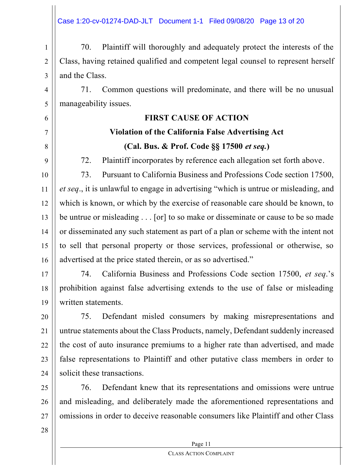1 2 3 70. Plaintiff will thoroughly and adequately protect the interests of the Class, having retained qualified and competent legal counsel to represent herself and the Class.

4 71. Common questions will predominate, and there will be no unusual manageability issues.

## **FIRST CAUSE OF ACTION**

## **Violation of the California False Advertising Act (Cal. Bus. & Prof. Code §§ 17500** *et seq.***)**

72. Plaintiff incorporates by reference each allegation set forth above.

10 11 12 13 14 15 16 73. Pursuant to California Business and Professions Code section 17500, *et seq.*, it is unlawful to engage in advertising "which is untrue or misleading, and which is known, or which by the exercise of reasonable care should be known, to be untrue or misleading . . . [or] to so make or disseminate or cause to be so made or disseminated any such statement as part of a plan or scheme with the intent not to sell that personal property or those services, professional or otherwise, so advertised at the price stated therein, or as so advertised.<sup>"</sup>

17 18 19 74. California Business and Professions Code section 17500, et seq.'s prohibition against false advertising extends to the use of false or misleading written statements.

20 21 22 23 24 75. Defendant misled consumers by making misrepresentations and untrue statements about the Class Products, namely, Defendant suddenly increased the cost of auto insurance premiums to a higher rate than advertised, and made false representations to Plaintiff and other putative class members in order to solicit these transactions.

25 26 27 76. Defendant knew that its representations and omissions were untrue and misleading, and deliberately made the aforementioned representations and omissions in order to deceive reasonable consumers like Plaintiff and other Class

28

5

6

7

8

9

Page 11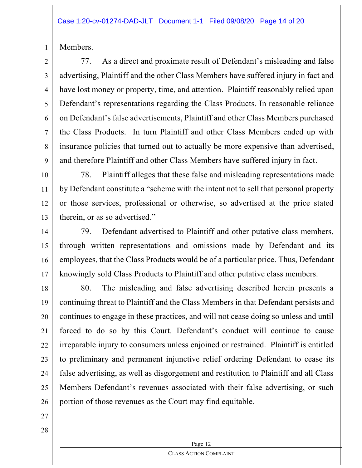Members.

1

2

3

4

5

6

7

8

9

77. As a direct and proximate result of Defendant's misleading and false advertising, Plaintiff and the other Class Members have suffered injury in fact and have lost money or property, time, and attention. Plaintiff reasonably relied upon Defendant's representations regarding the Class Products. In reasonable reliance on Defendant's false advertisements, Plaintiff and other Class Members purchased the Class Products. In turn Plaintiff and other Class Members ended up with insurance policies that turned out to actually be more expensive than advertised, and therefore Plaintiff and other Class Members have suffered injury in fact.

10 11 12 13 78. Plaintiff alleges that these false and misleading representations made by Defendant constitute a "scheme with the intent not to sell that personal property or those services, professional or otherwise, so advertised at the price stated therein, or as so advertised."

14 15 16 17 79. Defendant advertised to Plaintiff and other putative class members, through written representations and omissions made by Defendant and its employees, that the Class Products would be of a particular price. Thus, Defendant knowingly sold Class Products to Plaintiff and other putative class members.

18 19 20 21 22 23 24 25 26 80. The misleading and false advertising described herein presents a continuing threat to Plaintiff and the Class Members in that Defendant persists and continues to engage in these practices, and will not cease doing so unless and until forced to do so by this Court. Defendant's conduct will continue to cause irreparable injury to consumers unless enjoined or restrained. Plaintiff is entitled to preliminary and permanent injunctive relief ordering Defendant to cease its false advertising, as well as disgorgement and restitution to Plaintiff and all Class Members Defendant's revenues associated with their false advertising, or such portion of those revenues as the Court may find equitable.

27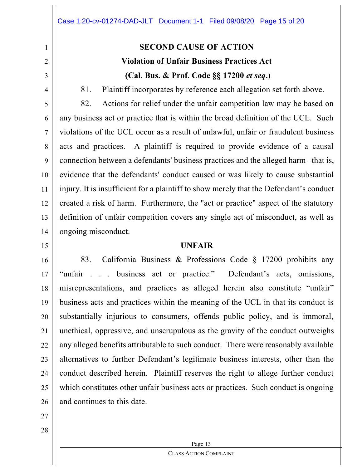# 2

1

3 4

81. Plaintiff incorporates by reference each allegation set forth above.

**SECOND CAUSE OF ACTION**

**Violation of Unfair Business Practices Act**

**(Cal. Bus. & Prof. Code §§ 17200** *et seq***.)**

5 6 7 8 9 10 11 12 13 14 82. Actions for relief under the unfair competition law may be based on any business act or practice that is within the broad definition of the UCL. Such violations of the UCL occur as a result of unlawful, unfair or fraudulent business acts and practices. A plaintiff is required to provide evidence of a causal connection between a defendants' business practices and the alleged harm--that is, evidence that the defendants' conduct caused or was likely to cause substantial injury. It is insufficient for a plaintiff to show merely that the Defendant's conduct created a risk of harm. Furthermore, the "act or practice" aspect of the statutory definition of unfair competition covers any single act of misconduct, as well as ongoing misconduct.

#### **UNFAIR**

16 17 18 19 20 21 22 23 24 25 26 83. California Business & Professions Code § 17200 prohibits any "unfair . . . business act or practice." Defendant's acts, omissions, misrepresentations, and practices as alleged herein also constitute "unfair" business acts and practices within the meaning of the UCL in that its conduct is substantially injurious to consumers, offends public policy, and is immoral, unethical, oppressive, and unscrupulous as the gravity of the conduct outweighs any alleged benefits attributable to such conduct. There were reasonably available alternatives to further Defendant's legitimate business interests, other than the conduct described herein. Plaintiff reserves the right to allege further conduct which constitutes other unfair business acts or practices. Such conduct is ongoing and continues to this date.

27

15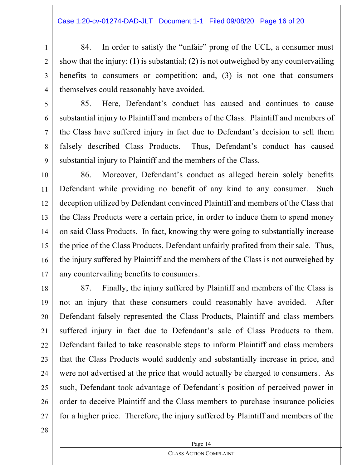1 2 3 4 84. In order to satisfy the "unfair" prong of the UCL, a consumer must show that the injury: (1) is substantial; (2) is not outweighed by any countervailing benefits to consumers or competition; and, (3) is not one that consumers themselves could reasonably have avoided.

5

6

7

8

9

85. Here, Defendant's conduct has caused and continues to cause substantial injury to Plaintiff and members of the Class. Plaintiff and members of the Class have suffered injury in fact due to Defendant's decision to sell them falsely described Class Products. Thus, Defendant's conduct has caused substantial injury to Plaintiff and the members of the Class.

10 11 12 13 14 15 16 17 86. Moreover, Defendant's conduct as alleged herein solely benefits Defendant while providing no benefit of any kind to any consumer. Such deception utilized by Defendant convinced Plaintiff and members of the Class that the Class Products were a certain price, in order to induce them to spend money on said Class Products. In fact, knowing thy were going to substantially increase the price of the Class Products, Defendant unfairly profited from their sale. Thus, the injury suffered by Plaintiff and the members of the Class is not outweighed by any countervailing benefits to consumers.

18 19 20 21 22 23 24 25 26 27 87. Finally, the injury suffered by Plaintiff and members of the Class is not an injury that these consumers could reasonably have avoided. After Defendant falsely represented the Class Products, Plaintiff and class members suffered injury in fact due to Defendant's sale of Class Products to them. Defendant failed to take reasonable steps to inform Plaintiff and class members that the Class Products would suddenly and substantially increase in price, and were not advertised at the price that would actually be charged to consumers. As such, Defendant took advantage of Defendant's position of perceived power in order to deceive Plaintiff and the Class members to purchase insurance policies for a higher price. Therefore, the injury suffered by Plaintiff and members of the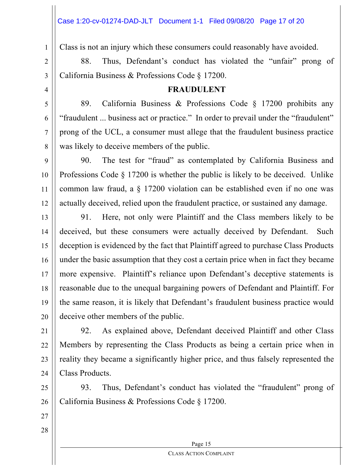Class is not an injury which these consumers could reasonably have avoided.

88. Thus, Defendant's conduct has violated the "unfair" prong of California Business & Professions Code § 17200.

4

1

2

3

5

6

7

8

11

## **FRAUDULENT**

89. California Business & Professions Code § 17200 prohibits any "fraudulent ... business act or practice." In order to prevail under the "fraudulent" prong of the UCL, a consumer must allege that the fraudulent business practice was likely to deceive members of the public.

9 10 12 90. The test for "fraud" as contemplated by California Business and Professions Code § 17200 is whether the public is likely to be deceived. Unlike common law fraud, a § 17200 violation can be established even if no one was actually deceived, relied upon the fraudulent practice, or sustained any damage.

13 14 15 16 17 18 19 20 91. Here, not only were Plaintiff and the Class members likely to be deceived, but these consumers were actually deceived by Defendant. Such deception is evidenced by the fact that Plaintiff agreed to purchase Class Products under the basic assumption that they cost a certain price when in fact they became more expensive. Plaintiff's reliance upon Defendant's deceptive statements is reasonable due to the unequal bargaining powers of Defendant and Plaintiff. For the same reason, it is likely that Defendant's fraudulent business practice would deceive other members of the public.

21 22 23 24 92. As explained above, Defendant deceived Plaintiff and other Class Members by representing the Class Products as being a certain price when in reality they became a significantly higher price, and thus falsely represented the Class Products.

25 26 93. Thus, Defendant's conduct has violated the "fraudulent" prong of California Business & Professions Code § 17200.

27

28

Page 15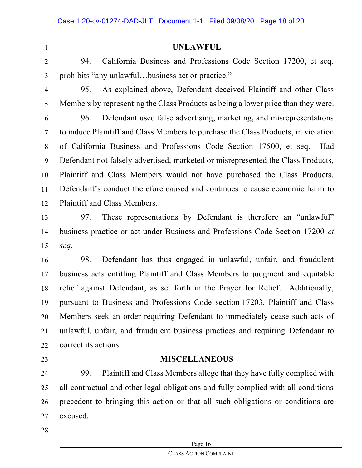## **UNLAWFUL**

94. California Business and Professions Code Section 17200, et seq. prohibits "any unlawful...business act or practice."

3

4

5

6

7

8

9

10

11

12

1

2

95. As explained above, Defendant deceived Plaintiff and other Class Members by representing the Class Products as being a lower price than they were.

96. Defendant used false advertising, marketing, and misrepresentations to induce Plaintiff and Class Members to purchase the Class Products, in violation of California Business and Professions Code Section 17500, et seq. Had Defendant not falsely advertised, marketed or misrepresented the Class Products, Plaintiff and Class Members would not have purchased the Class Products. Defendant's conduct therefore caused and continues to cause economic harm to Plaintiff and Class Members.

13 14 15 97. These representations by Defendant is therefore an "unlawful" business practice or act under Business and Professions Code Section 17200 *et seq*.

16 17 18 19 20 21 22 98. Defendant has thus engaged in unlawful, unfair, and fraudulent business acts entitling Plaintiff and Class Members to judgment and equitable relief against Defendant, as set forth in the Prayer for Relief. Additionally, pursuant to Business and Professions Code section 17203, Plaintiff and Class Members seek an order requiring Defendant to immediately cease such acts of unlawful, unfair, and fraudulent business practices and requiring Defendant to correct its actions.

## **MISCELLANEOUS**

24 25 26 27 99. Plaintiff and Class Members allege that they have fully complied with all contractual and other legal obligations and fully complied with all conditions precedent to bringing this action or that all such obligations or conditions are excused.

28

23

Page 16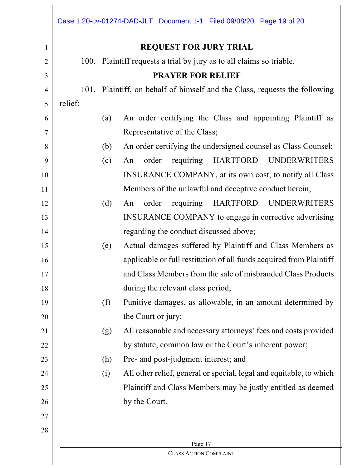|                |         |                               | Case 1:20-cv-01274-DAD-JLT Document 1-1 Filed 09/08/20 Page 19 of 20  |  |  |
|----------------|---------|-------------------------------|-----------------------------------------------------------------------|--|--|
| 1              |         | <b>REQUEST FOR JURY TRIAL</b> |                                                                       |  |  |
| $\overline{2}$ |         |                               | 100. Plaintiff requests a trial by jury as to all claims so triable.  |  |  |
| 3              |         | <b>PRAYER FOR RELIEF</b>      |                                                                       |  |  |
| $\overline{4}$ | 101.    |                               | Plaintiff, on behalf of himself and the Class, requests the following |  |  |
| 5              | relief: |                               |                                                                       |  |  |
| 6              |         | (a)                           | An order certifying the Class and appointing Plaintiff as             |  |  |
| 7              |         |                               | Representative of the Class;                                          |  |  |
| 8              |         | (b)                           | An order certifying the undersigned counsel as Class Counsel;         |  |  |
| 9              |         | (c)                           | requiring<br>HARTFORD UNDERWRITERS<br>order<br>An                     |  |  |
| 10             |         |                               | INSURANCE COMPANY, at its own cost, to notify all Class               |  |  |
| 11             |         |                               | Members of the unlawful and deceptive conduct herein;                 |  |  |
| 12             |         | (d)                           | requiring<br>HARTFORD UNDERWRITERS<br>order<br>An                     |  |  |
| 13             |         |                               | INSURANCE COMPANY to engage in corrective advertising                 |  |  |
| 14             |         |                               | regarding the conduct discussed above;                                |  |  |
| 15             |         | (e)                           | Actual damages suffered by Plaintiff and Class Members as             |  |  |
| 16             |         |                               | applicable or full restitution of all funds acquired from Plaintiff   |  |  |
| 17             |         |                               | and Class Members from the sale of misbranded Class Products          |  |  |
| 18             |         |                               | during the relevant class period;                                     |  |  |
| 19             |         | (f)                           | Punitive damages, as allowable, in an amount determined by            |  |  |
| 20             |         |                               | the Court or jury;                                                    |  |  |
| 21             |         | (g)                           | All reasonable and necessary attorneys' fees and costs provided       |  |  |
| 22             |         |                               | by statute, common law or the Court's inherent power;                 |  |  |
| 23             |         | (h)                           | Pre- and post-judgment interest; and                                  |  |  |
| 24             |         | (i)                           | All other relief, general or special, legal and equitable, to which   |  |  |
| 25             |         |                               | Plaintiff and Class Members may be justly entitled as deemed          |  |  |
| 26             |         |                               | by the Court.                                                         |  |  |
| 27             |         |                               |                                                                       |  |  |
| 28             |         |                               |                                                                       |  |  |
|                | Page 17 |                               |                                                                       |  |  |
|                |         |                               | <b>CLASS ACTION COMPLAINT</b>                                         |  |  |